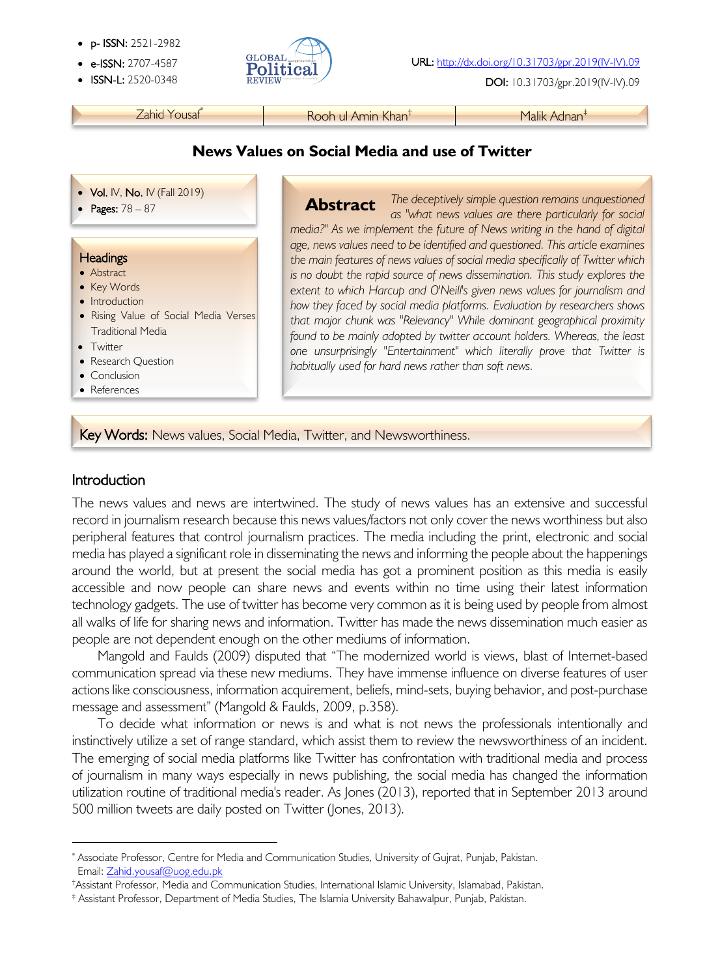- p- ISSN: 2521-2982
- 
- 



• ISSN-L: 2520-0348 DOI: 10.31703/gpr.2019(IV-IV).09

Zahid Yousaf\* Rooh ul Amin Khan† Malik Adnan‡

### **News Values on Social Media and use of Twitter**

- Vol. IV, No. IV (Fall 2019)
- 

#### **Headings**

- Abstract
- Key Words
- Introduction
- Rising Value of Social Media Verses Traditional Media
- Twitter
- Research Question
- Conclusion
- References

• **Pages:** 78 – 87 **Abstract** The deceptively simple question remains unquestioned **Abstract** The deceptively simple question remains unquestioned *as "what news values are there particularly for social media?" As we implement the future of News writing in the hand of digital age, news values need to be identified and questioned. This article examines the main features of news values of social media specifically of Twitter which is no doubt the rapid source of news dissemination. This study explores the extent to which Harcup and O'Neill's given news values for journalism and how they faced by social media platforms. Evaluation by researchers shows that major chunk was "Relevancy" While dominant geographical proximity found to be mainly adopted by twitter account holders. Whereas, the least one unsurprisingly "Entertainment" which literally prove that Twitter is habitually used for hard news rather than soft news.* **Abstract**

Key Words: News values, Social Media, Twitter, and Newsworthiness.

## Introduction

The news values and news are intertwined. The study of news values has an extensive and successful record in journalism research because this news values/factors not only cover the news worthiness but also peripheral features that control journalism practices. The media including the print, electronic and social media has played a significant role in disseminating the news and informing the people about the happenings around the world, but at present the social media has got a prominent position as this media is easily accessible and now people can share news and events within no time using their latest information technology gadgets. The use of twitter has become very common as it is being used by people from almost all walks of life for sharing news and information. Twitter has made the news dissemination much easier as people are not dependent enough on the other mediums of information.

Mangold and Faulds (2009) disputed that "The modernized world is views, blast of Internet-based communication spread via these new mediums. They have immense influence on diverse features of user actions like consciousness, information acquirement, beliefs, mind-sets, buying behavior, and post-purchase message and assessment" (Mangold & Faulds, 2009, p.358).

To decide what information or news is and what is not news the professionals intentionally and instinctively utilize a set of range standard, which assist them to review the newsworthiness of an incident. The emerging of social media platforms like Twitter has confrontation with traditional media and process of journalism in many ways especially in news publishing, the social media has changed the information utilization routine of traditional media's reader. As Jones (2013), reported that in September 2013 around 500 million tweets are daily posted on Twitter (Jones, 2013).

<sup>\*</sup> Associate Professor, Centre for Media and Communication Studies, University of Gujrat, Punjab, Pakistan. Email: Zahid.yousaf@uog.edu.pk

<sup>†</sup>Assistant Professor, Media and Communication Studies, International Islamic University, Islamabad, Pakistan.

<sup>‡</sup> Assistant Professor, Department of Media Studies, The Islamia University Bahawalpur, Punjab, Pakistan.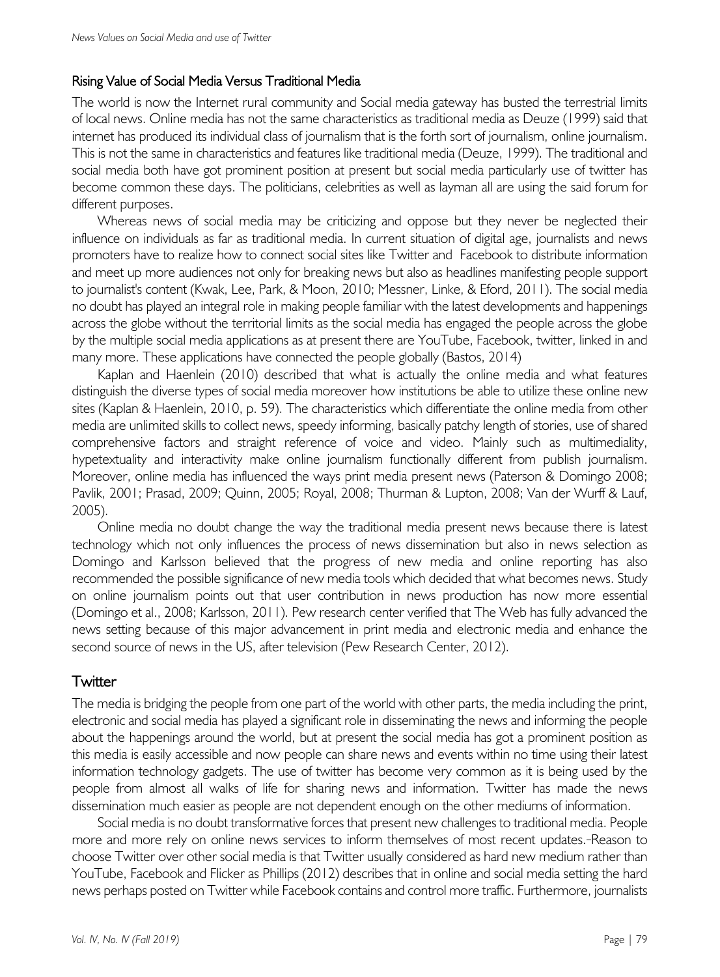#### Rising Value of Social Media Versus Traditional Media

The world is now the Internet rural community and Social media gateway has busted the terrestrial limits of local news. Online media has not the same characteristics as traditional media as Deuze (1999) said that internet has produced its individual class of journalism that is the forth sort of journalism, online journalism. This is not the same in characteristics and features like traditional media (Deuze, 1999). The traditional and social media both have got prominent position at present but social media particularly use of twitter has become common these days. The politicians, celebrities as well as layman all are using the said forum for different purposes.

Whereas news of social media may be criticizing and oppose but they never be neglected their influence on individuals as far as traditional media. In current situation of digital age, journalists and news promoters have to realize how to connect social sites like Twitter and Facebook to distribute information and meet up more audiences not only for breaking news but also as headlines manifesting people support to journalist's content (Kwak, Lee, Park, & Moon, 2010; Messner, Linke, & Eford, 2011). The social media no doubt has played an integral role in making people familiar with the latest developments and happenings across the globe without the territorial limits as the social media has engaged the people across the globe by the multiple social media applications as at present there are YouTube, Facebook, twitter, linked in and many more. These applications have connected the people globally (Bastos, 2014)

Kaplan and Haenlein (2010) described that what is actually the online media and what features distinguish the diverse types of social media moreover how institutions be able to utilize these online new sites (Kaplan & Haenlein, 2010, p. 59). The characteristics which differentiate the online media from other media are unlimited skills to collect news, speedy informing, basically patchy length of stories, use of shared comprehensive factors and straight reference of voice and video. Mainly such as multimediality, hypetextuality and interactivity make online journalism functionally different from publish journalism. Moreover, online media has influenced the ways print media present news (Paterson & Domingo 2008; Pavlik, 2001; Prasad, 2009; Quinn, 2005; Royal, 2008; Thurman & Lupton, 2008; Van der Wurff & Lauf, 2005).

Online media no doubt change the way the traditional media present news because there is latest technology which not only influences the process of news dissemination but also in news selection as Domingo and Karlsson believed that the progress of new media and online reporting has also recommended the possible significance of new media tools which decided that what becomes news. Study on online journalism points out that user contribution in news production has now more essential (Domingo et al., 2008; Karlsson, 2011). Pew research center verified that The Web has fully advanced the news setting because of this major advancement in print media and electronic media and enhance the second source of news in the US, after television (Pew Research Center, 2012).

### **Twitter**

The media is bridging the people from one part of the world with other parts, the media including the print, electronic and social media has played a significant role in disseminating the news and informing the people about the happenings around the world, but at present the social media has got a prominent position as this media is easily accessible and now people can share news and events within no time using their latest information technology gadgets. The use of twitter has become very common as it is being used by the people from almost all walks of life for sharing news and information. Twitter has made the news dissemination much easier as people are not dependent enough on the other mediums of information.

Social media is no doubt transformative forces that present new challenges to traditional media. People more and more rely on online news services to inform themselves of most recent updates. Reason to choose Twitter over other social media is that Twitter usually considered as hard new medium rather than YouTube, Facebook and Flicker as Phillips (2012) describes that in online and social media setting the hard news perhaps posted on Twitter while Facebook contains and control more traffic. Furthermore, journalists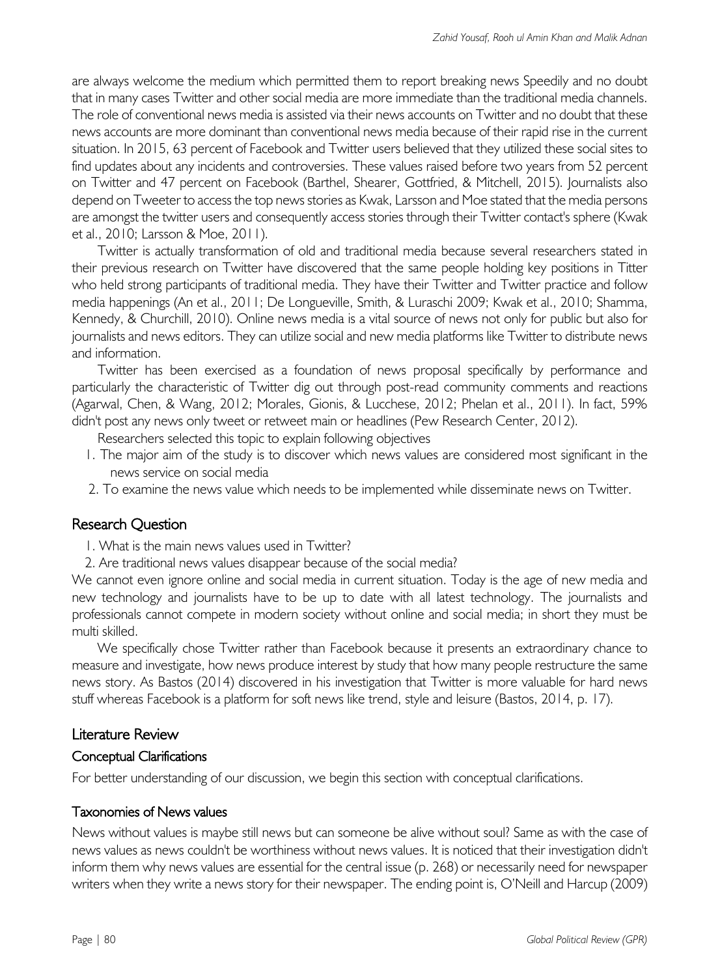are always welcome the medium which permitted them to report breaking news Speedily and no doubt that in many cases Twitter and other social media are more immediate than the traditional media channels. The role of conventional news media is assisted via their news accounts on Twitter and no doubt that these news accounts are more dominant than conventional news media because of their rapid rise in the current situation. In 2015, 63 percent of Facebook and Twitter users believed that they utilized these social sites to find updates about any incidents and controversies. These values raised before two years from 52 percent on Twitter and 47 percent on Facebook (Barthel, Shearer, Gottfried, & Mitchell, 2015). Journalists also depend on Tweeter to access the top news stories as Kwak, Larsson and Moe stated that the media persons are amongst the twitter users and consequently access stories through their Twitter contact's sphere (Kwak et al., 2010; Larsson & Moe, 2011).

Twitter is actually transformation of old and traditional media because several researchers stated in their previous research on Twitter have discovered that the same people holding key positions in Titter who held strong participants of traditional media. They have their Twitter and Twitter practice and follow media happenings (An et al., 2011; De Longueville, Smith, & Luraschi 2009; Kwak et al., 2010; Shamma, Kennedy, & Churchill, 2010). Online news media is a vital source of news not only for public but also for journalists and news editors. They can utilize social and new media platforms like Twitter to distribute news and information.

Twitter has been exercised as a foundation of news proposal specifically by performance and particularly the characteristic of Twitter dig out through post-read community comments and reactions (Agarwal, Chen, & Wang, 2012; Morales, Gionis, & Lucchese, 2012; Phelan et al., 2011). In fact, 59% didn't post any news only tweet or retweet main or headlines (Pew Research Center, 2012).

Researchers selected this topic to explain following objectives

- 1. The major aim of the study is to discover which news values are considered most significant in the news service on social media
- 2. To examine the news value which needs to be implemented while disseminate news on Twitter.

# Research Question

- 1. What is the main news values used in Twitter?
- 2. Are traditional news values disappear because of the social media?

We cannot even ignore online and social media in current situation. Today is the age of new media and new technology and journalists have to be up to date with all latest technology. The journalists and professionals cannot compete in modern society without online and social media; in short they must be multi skilled.

We specifically chose Twitter rather than Facebook because it presents an extraordinary chance to measure and investigate, how news produce interest by study that how many people restructure the same news story. As Bastos (2014) discovered in his investigation that Twitter is more valuable for hard news stuff whereas Facebook is a platform for soft news like trend, style and leisure (Bastos, 2014, p. 17).

### Literature Review

### Conceptual Clarifications

For better understanding of our discussion, we begin this section with conceptual clarifications.

### Taxonomies of News values

News without values is maybe still news but can someone be alive without soul? Same as with the case of news values as news couldn't be worthiness without news values. It is noticed that their investigation didn't inform them why news values are essential for the central issue (p. 268) or necessarily need for newspaper writers when they write a news story for their newspaper. The ending point is, O'Neill and Harcup (2009)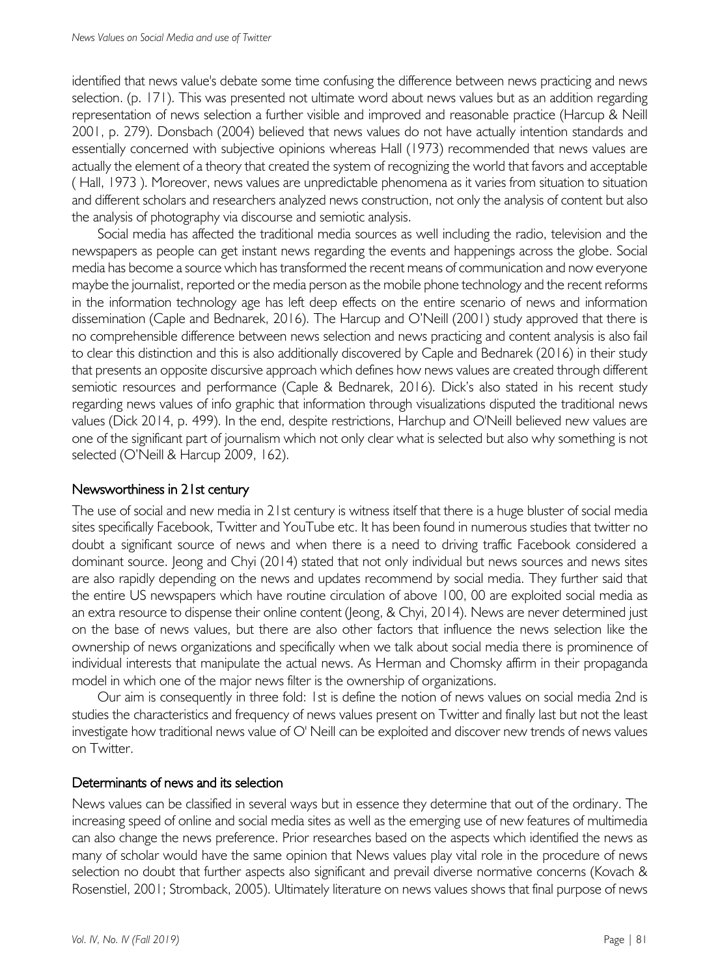identified that news value's debate some time confusing the difference between news practicing and news selection. (p. 171). This was presented not ultimate word about news values but as an addition regarding representation of news selection a further visible and improved and reasonable practice (Harcup & Neill 2001, p. 279). Donsbach (2004) believed that news values do not have actually intention standards and essentially concerned with subjective opinions whereas Hall (1973) recommended that news values are actually the element of a theory that created the system of recognizing the world that favors and acceptable ( Hall, 1973 ). Moreover, news values are unpredictable phenomena as it varies from situation to situation and different scholars and researchers analyzed news construction, not only the analysis of content but also the analysis of photography via discourse and semiotic analysis.

Social media has affected the traditional media sources as well including the radio, television and the newspapers as people can get instant news regarding the events and happenings across the globe. Social media has become a source which has transformed the recent means of communication and now everyone maybe the journalist, reported or the media person as the mobile phone technology and the recent reforms in the information technology age has left deep effects on the entire scenario of news and information dissemination (Caple and Bednarek, 2016). The Harcup and O'Neill (2001) study approved that there is no comprehensible difference between news selection and news practicing and content analysis is also fail to clear this distinction and this is also additionally discovered by Caple and Bednarek (2016) in their study that presents an opposite discursive approach which defines how news values are created through different semiotic resources and performance (Caple & Bednarek, 2016). Dick's also stated in his recent study regarding news values of info graphic that information through visualizations disputed the traditional news values (Dick 2014, p. 499). In the end, despite restrictions, Harchup and O'Neill believed new values are one of the significant part of journalism which not only clear what is selected but also why something is not selected (O'Neill & Harcup 2009, 162).

## Newsworthiness in 21st century

The use of social and new media in 21st century is witness itself that there is a huge bluster of social media sites specifically Facebook, Twitter and YouTube etc. It has been found in numerous studies that twitter no doubt a significant source of news and when there is a need to driving traffic Facebook considered a dominant source. Jeong and Chyi (2014) stated that not only individual but news sources and news sites are also rapidly depending on the news and updates recommend by social media. They further said that the entire US newspapers which have routine circulation of above 100, 00 are exploited social media as an extra resource to dispense their online content (Jeong, & Chyi, 2014). News are never determined just on the base of news values, but there are also other factors that influence the news selection like the ownership of news organizations and specifically when we talk about social media there is prominence of individual interests that manipulate the actual news. As Herman and Chomsky affirm in their propaganda model in which one of the major news filter is the ownership of organizations.

Our aim is consequently in three fold: 1st is define the notion of news values on social media 2nd is studies the characteristics and frequency of news values present on Twitter and finally last but not the least investigate how traditional news value of O' Neill can be exploited and discover new trends of news values on Twitter.

#### Determinants of news and its selection

News values can be classified in several ways but in essence they determine that out of the ordinary. The increasing speed of online and social media sites as well as the emerging use of new features of multimedia can also change the news preference. Prior researches based on the aspects which identified the news as many of scholar would have the same opinion that News values play vital role in the procedure of news selection no doubt that further aspects also significant and prevail diverse normative concerns (Kovach & Rosenstiel, 2001; Stromback, 2005). Ultimately literature on news values shows that final purpose of news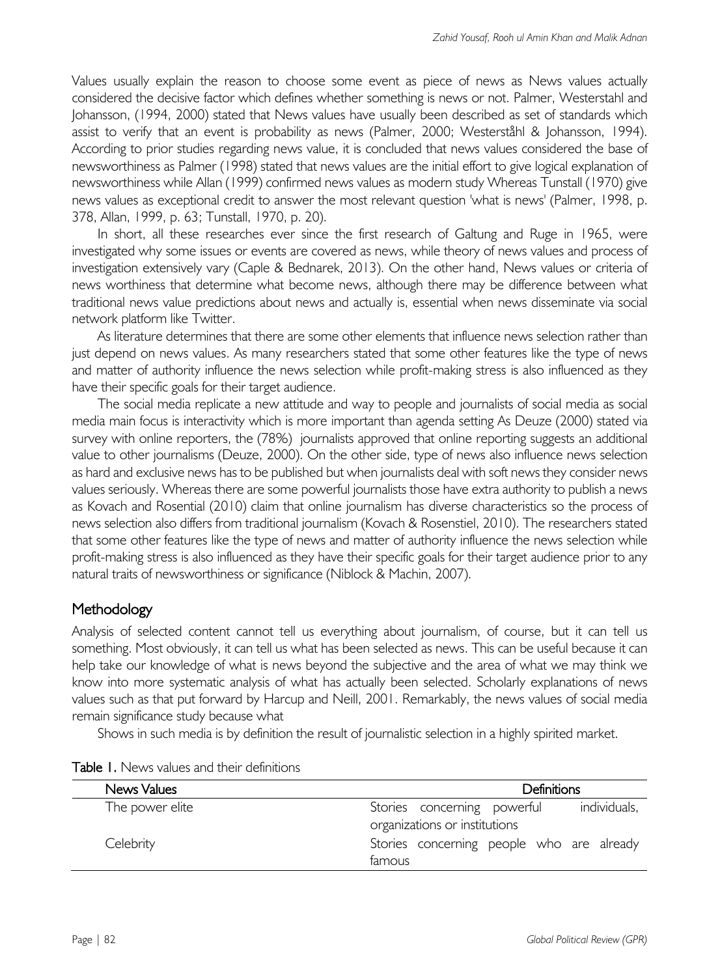Values usually explain the reason to choose some event as piece of news as News values actually considered the decisive factor which defines whether something is news or not. Palmer, Westerstahl and Johansson, (1994, 2000) stated that News values have usually been described as set of standards which assist to verify that an event is probability as news (Palmer, 2000; Westerståhl & Johansson, 1994). According to prior studies regarding news value, it is concluded that news values considered the base of newsworthiness as Palmer (1998) stated that news values are the initial effort to give logical explanation of newsworthiness while Allan (1999) confirmed news values as modern study Whereas Tunstall (1970) give news values as exceptional credit to answer the most relevant question 'what is news' (Palmer, 1998, p. 378, Allan, 1999, p. 63; Tunstall, 1970, p. 20).

In short, all these researches ever since the first research of Galtung and Ruge in 1965, were investigated why some issues or events are covered as news, while theory of news values and process of investigation extensively vary (Caple & Bednarek, 2013). On the other hand, News values or criteria of news worthiness that determine what become news, although there may be difference between what traditional news value predictions about news and actually is, essential when news disseminate via social network platform like Twitter.

As literature determines that there are some other elements that influence news selection rather than just depend on news values. As many researchers stated that some other features like the type of news and matter of authority influence the news selection while profit-making stress is also influenced as they have their specific goals for their target audience.

The social media replicate a new attitude and way to people and journalists of social media as social media main focus is interactivity which is more important than agenda setting As Deuze (2000) stated via survey with online reporters, the (78%) journalists approved that online reporting suggests an additional value to other journalisms (Deuze, 2000). On the other side, type of news also influence news selection as hard and exclusive news has to be published but when journalists deal with soft news they consider news values seriously. Whereas there are some powerful journalists those have extra authority to publish a news as Kovach and Rosential (2010) claim that online journalism has diverse characteristics so the process of news selection also differs from traditional journalism (Kovach & Rosenstiel, 2010). The researchers stated that some other features like the type of news and matter of authority influence the news selection while profit-making stress is also influenced as they have their specific goals for their target audience prior to any natural traits of newsworthiness or significance (Niblock & Machin, 2007).

# **Methodology**

Analysis of selected content cannot tell us everything about journalism, of course, but it can tell us something. Most obviously, it can tell us what has been selected as news. This can be useful because it can help take our knowledge of what is news beyond the subjective and the area of what we may think we know into more systematic analysis of what has actually been selected. Scholarly explanations of news values such as that put forward by Harcup and Neill, 2001. Remarkably, the news values of social media remain significance study because what

Shows in such media is by definition the result of journalistic selection in a highly spirited market.

| News Values     | Definitions                                 |
|-----------------|---------------------------------------------|
| The power elite | individuals,<br>Stories concerning powerful |
|                 | organizations or institutions               |
| Celebrity       | Stories concerning people who are already   |
|                 | famous                                      |

Table 1. News values and their definitions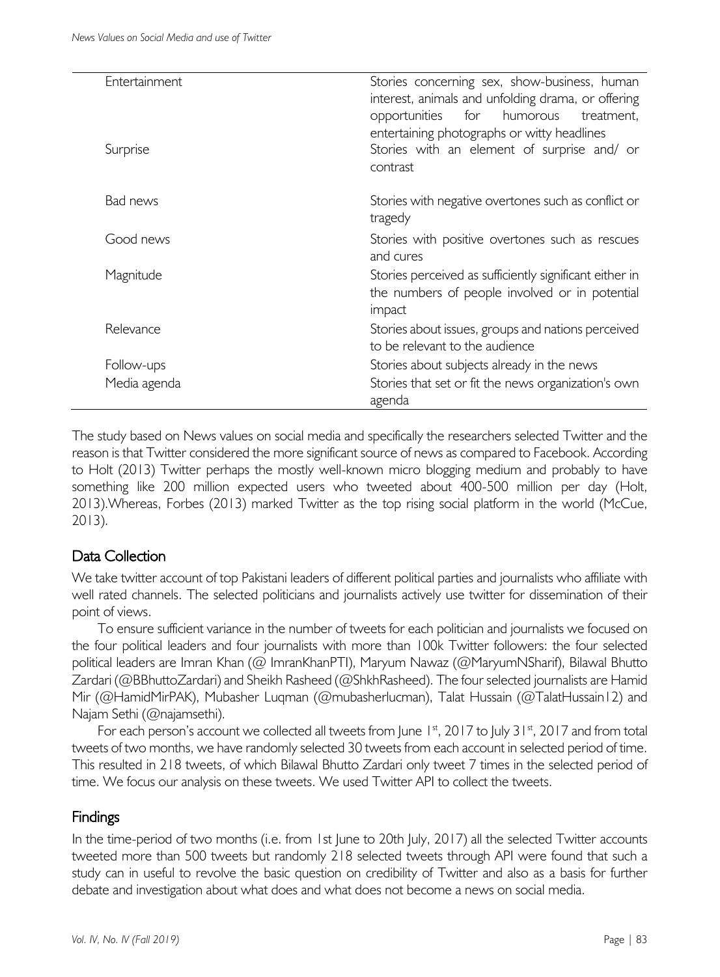| Entertainment | Stories concerning sex, show-business, human<br>interest, animals and unfolding drama, or offering<br>for<br>humorous<br>opportunities<br>treatment, |
|---------------|------------------------------------------------------------------------------------------------------------------------------------------------------|
| Surprise      | entertaining photographs or witty headlines<br>Stories with an element of surprise and/ or<br>contrast                                               |
| Bad news      | Stories with negative overtones such as conflict or<br>tragedy                                                                                       |
| Good news     | Stories with positive overtones such as rescues<br>and cures                                                                                         |
| Magnitude     | Stories perceived as sufficiently significant either in<br>the numbers of people involved or in potential<br>impact                                  |
| Relevance     | Stories about issues, groups and nations perceived<br>to be relevant to the audience                                                                 |
| Follow-ups    | Stories about subjects already in the news                                                                                                           |
| Media agenda  | Stories that set or fit the news organization's own<br>agenda                                                                                        |

The study based on News values on social media and specifically the researchers selected Twitter and the reason is that Twitter considered the more significant source of news as compared to Facebook. According to Holt (2013) Twitter perhaps the mostly well-known micro blogging medium and probably to have something like 200 million expected users who tweeted about 400-500 million per day (Holt, 2013).Whereas, Forbes (2013) marked Twitter as the top rising social platform in the world (McCue, 2013).

# Data Collection

We take twitter account of top Pakistani leaders of different political parties and journalists who affiliate with well rated channels. The selected politicians and journalists actively use twitter for dissemination of their point of views.

To ensure sufficient variance in the number of tweets for each politician and journalists we focused on the four political leaders and four journalists with more than 100k Twitter followers: the four selected political leaders are Imran Khan (@ ImranKhanPTI), Maryum Nawaz (@MaryumNSharif), Bilawal Bhutto Zardari (@BBhuttoZardari) and Sheikh Rasheed (@ShkhRasheed). The four selected journalists are Hamid Mir (@HamidMirPAK), Mubasher Luqman (@mubasherlucman), Talat Hussain (@TalatHussain12) and Najam Sethi (@najamsethi).

For each person's account we collected all tweets from June  $1<sup>st</sup>$ , 2017 to July 31 $<sup>st</sup>$ , 2017 and from total</sup> tweets of two months, we have randomly selected 30 tweets from each account in selected period of time. This resulted in 218 tweets, of which Bilawal Bhutto Zardari only tweet 7 times in the selected period of time. We focus our analysis on these tweets. We used Twitter API to collect the tweets.

# Findings

In the time-period of two months (i.e. from 1st June to 20th July, 2017) all the selected Twitter accounts tweeted more than 500 tweets but randomly 218 selected tweets through API were found that such a study can in useful to revolve the basic question on credibility of Twitter and also as a basis for further debate and investigation about what does and what does not become a news on social media.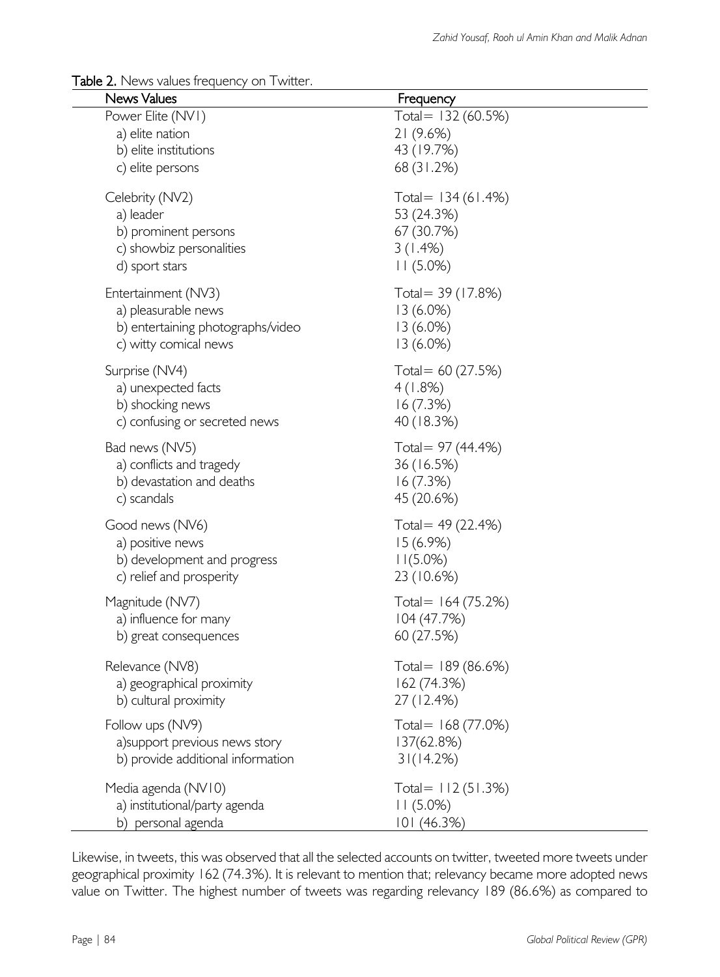#### Table 2. News values frequency on Twitter.

| <b>News Values</b>                                                                                       | Frequency                                                              |  |
|----------------------------------------------------------------------------------------------------------|------------------------------------------------------------------------|--|
| Power Elite (NVI)<br>a) elite nation<br>b) elite institutions<br>c) elite persons                        | Total= 132 (60.5%)<br>21(9.6%)<br>43 (19.7%)<br>68 (31.2%)             |  |
| Celebrity (NV2)<br>a) leader<br>b) prominent persons<br>c) showbiz personalities<br>d) sport stars       | Total = 134 (61.4%)<br>53 (24.3%)<br>67 (30.7%)<br>3(1.4%)<br>11(5.0%) |  |
| Entertainment (NV3)<br>a) pleasurable news<br>b) entertaining photographs/video<br>c) witty comical news | Total = 39 (17.8%)<br>13(6.0%)<br>$13(6.0\%)$<br>$13(6.0\%)$           |  |
| Surprise (NV4)<br>a) unexpected facts<br>b) shocking news<br>c) confusing or secreted news               | Total = $60(27.5%)$<br>4(1.8%)<br>16(7.3%)<br>40 (18.3%)               |  |
| Bad news (NV5)<br>a) conflicts and tragedy<br>b) devastation and deaths<br>c) scandals                   | Total = 97 (44.4%)<br>36 (16.5%)<br>16(7.3%)<br>45 (20.6%)             |  |
| Good news (NV6)<br>a) positive news<br>b) development and progress<br>c) relief and prosperity           | Total = $49(22.4%)$<br>15(6.9%)<br>$11(5.0\%)$<br>23 (10.6%)           |  |
| Magnitude (NV7)<br>a) influence for many<br>b) great consequences                                        | Total = $164(75.2%)$<br>104 (47.7%)<br>60 (27.5%)                      |  |
| Relevance (NV8)<br>a) geographical proximity<br>b) cultural proximity                                    | Total = $189(86.6%)$<br>162 (74.3%)<br>27 (12.4%)                      |  |
| Follow ups (NV9)<br>a) support previous news story<br>b) provide additional information                  | Total = 168 (77.0%)<br>137(62.8%)<br>31(14.2%)                         |  |
| Media agenda (NV10)<br>a) institutional/party agenda<br>b) personal agenda                               | Total = $112(51.3%)$<br>11(5.0%)<br>101 (46.3%)                        |  |

Likewise, in tweets, this was observed that all the selected accounts on twitter, tweeted more tweets under geographical proximity 162 (74.3%). It is relevant to mention that; relevancy became more adopted news value on Twitter. The highest number of tweets was regarding relevancy 189 (86.6%) as compared to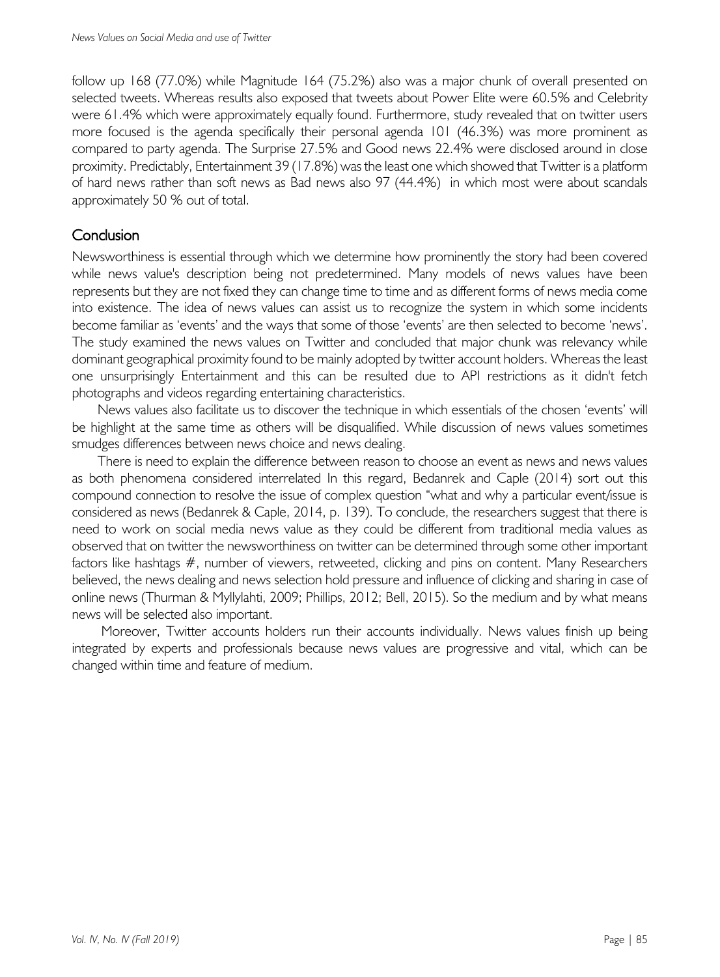follow up 168 (77.0%) while Magnitude 164 (75.2%) also was a major chunk of overall presented on selected tweets. Whereas results also exposed that tweets about Power Elite were 60.5% and Celebrity were 61.4% which were approximately equally found. Furthermore, study revealed that on twitter users more focused is the agenda specifically their personal agenda 101 (46.3%) was more prominent as compared to party agenda. The Surprise 27.5% and Good news 22.4% were disclosed around in close proximity. Predictably, Entertainment 39 (17.8%) was the least one which showed that Twitter is a platform of hard news rather than soft news as Bad news also 97 (44.4%) in which most were about scandals approximately 50 % out of total.

# **Conclusion**

Newsworthiness is essential through which we determine how prominently the story had been covered while news value's description being not predetermined. Many models of news values have been represents but they are not fixed they can change time to time and as different forms of news media come into existence. The idea of news values can assist us to recognize the system in which some incidents become familiar as 'events' and the ways that some of those 'events' are then selected to become 'news'. The study examined the news values on Twitter and concluded that major chunk was relevancy while dominant geographical proximity found to be mainly adopted by twitter account holders. Whereas the least one unsurprisingly Entertainment and this can be resulted due to API restrictions as it didn't fetch photographs and videos regarding entertaining characteristics.

News values also facilitate us to discover the technique in which essentials of the chosen 'events' will be highlight at the same time as others will be disqualified. While discussion of news values sometimes smudges differences between news choice and news dealing.

There is need to explain the difference between reason to choose an event as news and news values as both phenomena considered interrelated In this regard, Bedanrek and Caple (2014) sort out this compound connection to resolve the issue of complex question "what and why a particular event/issue is considered as news (Bedanrek & Caple, 2014, p. 139). To conclude, the researchers suggest that there is need to work on social media news value as they could be different from traditional media values as observed that on twitter the newsworthiness on twitter can be determined through some other important factors like hashtags #, number of viewers, retweeted, clicking and pins on content. Many Researchers believed, the news dealing and news selection hold pressure and influence of clicking and sharing in case of online news (Thurman & Myllylahti, 2009; Phillips, 2012; Bell, 2015). So the medium and by what means news will be selected also important.

Moreover, Twitter accounts holders run their accounts individually. News values finish up being integrated by experts and professionals because news values are progressive and vital, which can be changed within time and feature of medium.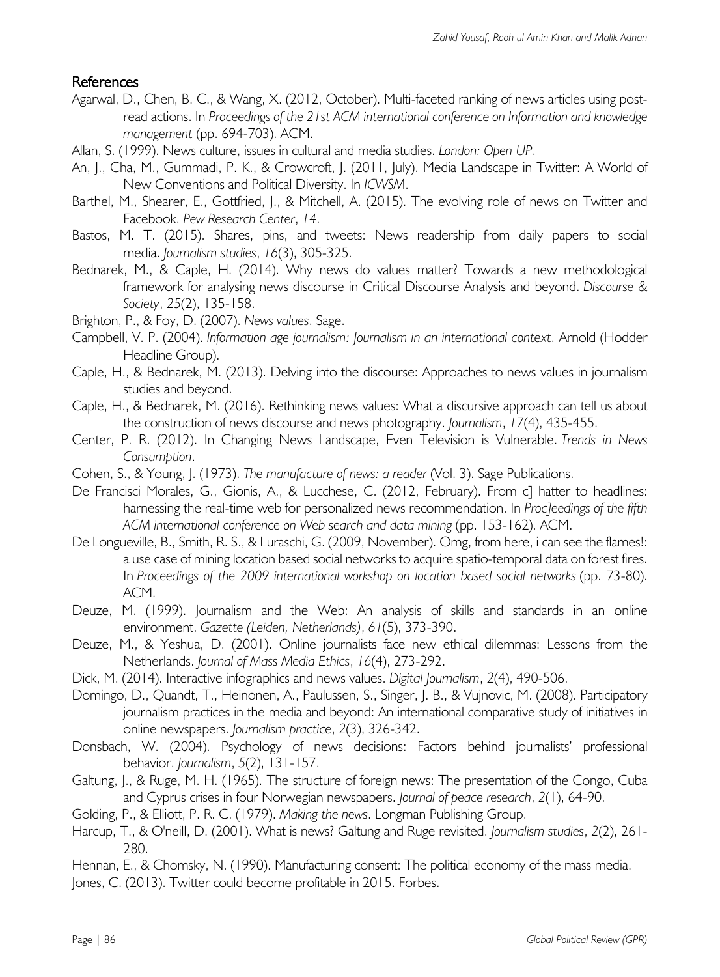# References

- Agarwal, D., Chen, B. C., & Wang, X. (2012, October). Multi-faceted ranking of news articles using postread actions. In *Proceedings of the 21st ACM international conference on Information and knowledge management* (pp. 694-703). ACM.
- Allan, S. (1999). News culture, issues in cultural and media studies. *London: Open UP*.
- An, J., Cha, M., Gummadi, P. K., & Crowcroft, J. (2011, July). Media Landscape in Twitter: A World of New Conventions and Political Diversity. In *ICWSM*.
- Barthel, M., Shearer, E., Gottfried, J., & Mitchell, A. (2015). The evolving role of news on Twitter and Facebook. *Pew Research Center*, *14*.
- Bastos, M. T. (2015). Shares, pins, and tweets: News readership from daily papers to social media. *Journalism studies*, *16*(3), 305-325.
- Bednarek, M., & Caple, H. (2014). Why news do values matter? Towards a new methodological framework for analysing news discourse in Critical Discourse Analysis and beyond. *Discourse & Society*, *25*(2), 135-158.
- Brighton, P., & Foy, D. (2007). *News values*. Sage.
- Campbell, V. P. (2004). *Information age journalism: Journalism in an international context*. Arnold (Hodder Headline Group).
- Caple, H., & Bednarek, M. (2013). Delving into the discourse: Approaches to news values in journalism studies and beyond.
- Caple, H., & Bednarek, M. (2016). Rethinking news values: What a discursive approach can tell us about the construction of news discourse and news photography. *Journalism*, *17*(4), 435-455.
- Center, P. R. (2012). In Changing News Landscape, Even Television is Vulnerable. *Trends in News Consumption*.
- Cohen, S., & Young, J. (1973). *The manufacture of news: a reader* (Vol. 3). Sage Publications.
- De Francisci Morales, G., Gionis, A., & Lucchese, C. (2012, February). From c] hatter to headlines: harnessing the real-time web for personalized news recommendation. In *Proc]eedings of the fifth ACM international conference on Web search and data mining* (pp. 153-162). ACM.
- De Longueville, B., Smith, R. S., & Luraschi, G. (2009, November). Omg, from here, i can see the flames!: a use case of mining location based social networks to acquire spatio-temporal data on forest fires. In *Proceedings of the 2009 international workshop on location based social networks* (pp. 73-80). ACM.
- Deuze, M. (1999). Journalism and the Web: An analysis of skills and standards in an online environment. *Gazette (Leiden, Netherlands)*, *61*(5), 373-390.
- Deuze, M., & Yeshua, D. (2001). Online journalists face new ethical dilemmas: Lessons from the Netherlands. *Journal of Mass Media Ethics*, *16*(4), 273-292.
- Dick, M. (2014). Interactive infographics and news values. *Digital Journalism*, *2*(4), 490-506.
- Domingo, D., Quandt, T., Heinonen, A., Paulussen, S., Singer, J. B., & Vujnovic, M. (2008). Participatory journalism practices in the media and beyond: An international comparative study of initiatives in online newspapers. *Journalism practice*, *2*(3), 326-342.
- Donsbach, W. (2004). Psychology of news decisions: Factors behind journalists' professional behavior. *Journalism*, *5*(2), 131-157.
- Galtung, I., & Ruge, M. H. (1965). The structure of foreign news: The presentation of the Congo, Cuba and Cyprus crises in four Norwegian newspapers. *Journal of peace research*, *2*(1), 64-90.
- Golding, P., & Elliott, P. R. C. (1979). *Making the news*. Longman Publishing Group.
- Harcup, T., & O'neill, D. (2001). What is news? Galtung and Ruge revisited. *Journalism studies*, *2*(2), 261- 280.
- Hennan, E., & Chomsky, N. (1990). Manufacturing consent: The political economy of the mass media.
- Jones, C. (2013). Twitter could become profitable in 2015. Forbes.